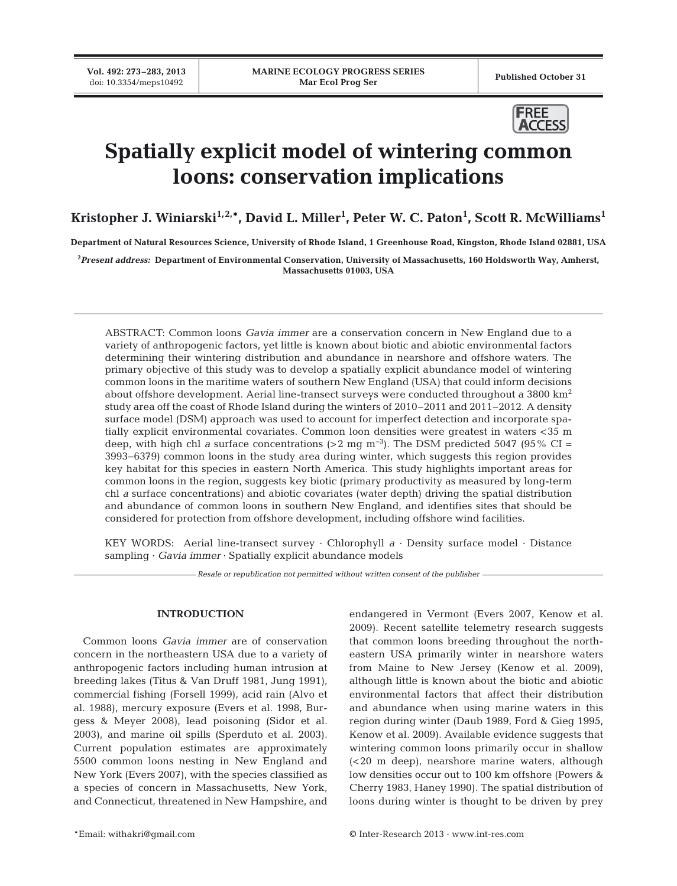

# **Spatially explicit model of wintering common loons: conservation implications**

**Kristopher J. Winiarski1,2,\*, David L. Miller1 , Peter W. C. Paton1 , Scott R. McWilliams1**

**Department of Natural Resources Science, University of Rhode Island, 1 Greenhouse Road, Kingston, Rhode Island 02881, USA**

**2** *Present address:* **Department of Environmental Conservation, University of Massachusetts, 160 Holdsworth Way, Amherst, Massachusetts 01003, USA**

ABSTRACT: Common loons *Gavia immer* are a conservation concern in New England due to a variety of anthropogenic factors, yet little is known about biotic and abiotic environmental factors determining their wintering distribution and abundance in nearshore and offshore waters. The primary objective of this study was to develop a spatially explicit abundance model of wintering common loons in the maritime waters of southern New England (USA) that could inform decisions about offshore development. Aerial line-transect surveys were conducted throughout a 3800 km<sup>2</sup> study area off the coast of Rhode Island during the winters of 2010–2011 and 2011–2012. A density surface model (DSM) approach was used to account for imperfect detection and incorporate spatially explicit environmental covariates. Common loon densities were greatest in waters <35 m deep, with high chl *a* surface concentrations (>2 mg m<sup>-3</sup>). The DSM predicted 5047 (95% CI = 3993−6379) common loons in the study area during winter, which suggests this region provides key habitat for this species in eastern North America. This study highlights important areas for common loons in the region, suggests key biotic (primary productivity as measured by long-term chl *a* surface concentrations) and abiotic covariates (water depth) driving the spatial distribution and abundance of common loons in southern New England, and identifies sites that should be considered for protection from offshore development, including offshore wind facilities.

KEY WORDS: Aerial line-transect survey · Chlorophyll *a* · Density surface model · Distance sampling · *Gavia immer* · Spatially explicit abundance models

*Resale or republication not permitted without written consent of the publisher*

## **INTRODUCTION**

Common loons *Gavia immer* are of conservation concern in the northeastern USA due to a variety of anthropogenic factors including human intrusion at breeding lakes (Titus & Van Druff 1981, Jung 1991), commercial fishing (Forsell 1999), acid rain (Alvo et al. 1988), mercury exposure (Evers et al. 1998, Bur gess & Meyer 2008), lead poisoning (Sidor et al. 2003), and marine oil spills (Sperduto et al. 2003). Current population estimates are approximately 5500 common loons nesting in New England and New York (Evers 2007), with the species classified as a species of concern in Massachusetts, New York, and Connecticut, threatened in New Hampshire, and

endangered in Vermont (Evers 2007, Kenow et al. 2009). Recent satellite telemetry research suggests that common loons breeding throughout the northeastern USA primarily winter in nearshore waters from Maine to New Jersey (Kenow et al. 2009), although little is known about the biotic and abiotic environmental factors that affect their distribution and abundance when using marine waters in this region during winter (Daub 1989, Ford & Gieg 1995, Kenow et al. 2009). Available evidence suggests that wintering common loons primarily occur in shallow (<20 m deep), nearshore marine waters, although low densities occur out to 100 km offshore (Powers & Cherry 1983, Haney 1990). The spatial distribution of loons during winter is thought to be driven by prey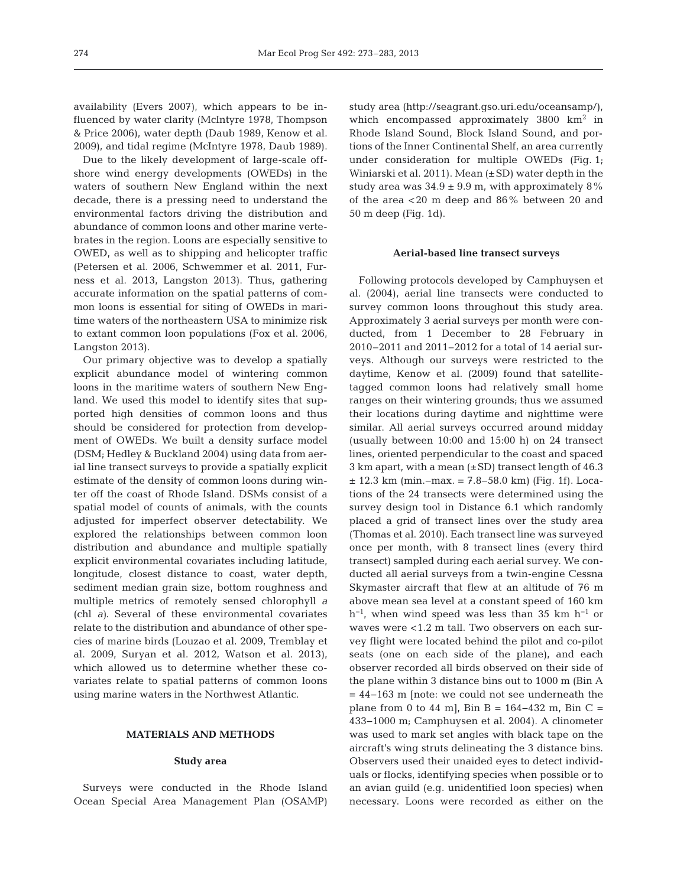availability (Evers 2007), which appears to be influenced by water clarity (McIntyre 1978, Thompson & Price 2006), water depth (Daub 1989, Kenow et al. 2009), and tidal regime (McIntyre 1978, Daub 1989).

Due to the likely development of large-scale offshore wind energy developments (OWEDs) in the waters of southern New England within the next decade, there is a pressing need to understand the environmental factors driving the distribution and abundance of common loons and other marine vertebrates in the region. Loons are especially sensitive to OWED, as well as to shipping and helicopter traffic (Petersen et al. 2006, Schwemmer et al. 2011, Furness et al. 2013, Langston 2013). Thus, gathering accurate information on the spatial patterns of common loons is essential for siting of OWEDs in maritime waters of the northeastern USA to minimize risk to extant common loon populations (Fox et al. 2006, Langston 2013).

Our primary objective was to develop a spatially explicit abundance model of wintering common loons in the maritime waters of southern New England. We used this model to identify sites that supported high densities of common loons and thus should be considered for protection from development of OWEDs. We built a density surface model (DSM; Hedley & Buckland 2004) using data from aerial line transect surveys to provide a spatially explicit estimate of the density of common loons during winter off the coast of Rhode Island. DSMs consist of a spatial model of counts of animals, with the counts adjusted for imperfect observer detectability. We explored the relationships between common loon distribution and abundance and multiple spatially explicit environmental covariates including latitude, longitude, closest distance to coast, water depth, sediment median grain size, bottom roughness and multiple metrics of remotely sensed chlorophyll *a* (chl *a)*. Several of these environmental covariates relate to the distribution and abundance of other species of marine birds (Louzao et al. 2009, Tremblay et al. 2009, Suryan et al. 2012, Watson et al. 2013), which allowed us to determine whether these covariates relate to spatial patterns of common loons using marine waters in the Northwest Atlantic.

#### **MATERIALS AND METHODS**

#### **Study area**

Surveys were conducted in the Rhode Island Ocean Special Area Management Plan (OSAMP) study area (http://seagrant.gso.uri.edu/oceansamp/), which encompassed approximately 3800 km<sup>2</sup> in Rhode Island Sound, Block Island Sound, and portions of the Inner Continental Shelf, an area currently under consideration for multiple OWEDs (Fig. 1; Winiarski et al. 2011). Mean (±SD) water depth in the study area was  $34.9 \pm 9.9$  m, with approximately 8% of the area <20 m deep and 86% between 20 and 50 m deep (Fig. 1d).

#### **Aerial-based line transect surveys**

Following protocols developed by Camphuysen et al. (2004), aerial line transects were conducted to survey common loons throughout this study area. Approximately 3 aerial surveys per month were conducted, from 1 December to 28 February in 2010–2011 and 2011–2012 for a total of 14 aerial surveys. Although our surveys were restricted to the daytime, Kenow et al. (2009) found that satellitetagged common loons had relatively small home ranges on their wintering grounds; thus we assumed their locations during daytime and nighttime were similar. All aerial surveys occurred around midday (usually between 10:00 and 15:00 h) on 24 transect lines, oriented perpendicular to the coast and spaced 3 km apart, with a mean  $(\pm SD)$  transect length of 46.3 ± 12.3 km (min.−max. = 7.8−58.0 km) (Fig. 1f). Locations of the 24 transects were determined using the survey design tool in Distance 6.1 which randomly placed a grid of transect lines over the study area (Thomas et al. 2010). Each transect line was surveyed once per month, with 8 transect lines (every third transect) sampled during each aerial survey. We conducted all aerial surveys from a twin-engine Cessna Skymaster aircraft that flew at an altitude of 76 m above mean sea level at a constant speed of 160 km  $h^{-1}$ , when wind speed was less than 35 km  $h^{-1}$  or waves were <1.2 m tall. Two observers on each survey flight were located behind the pilot and co-pilot seats (one on each side of the plane), and each observer recorded all birds observed on their side of the plane within 3 distance bins out to 1000 m (Bin A = 44−163 m [note: we could not see underneath the plane from 0 to 44 m], Bin B =  $164-432$  m, Bin C = 433-1000 m; Camphuysen et al. 2004). A clinometer was used to mark set angles with black tape on the aircraft's wing struts delineating the 3 distance bins. Observers used their unaided eyes to detect individuals or flocks, identifying species when possible or to an avian guild (e.g. unidentified loon species) when necessary. Loons were recorded as either on the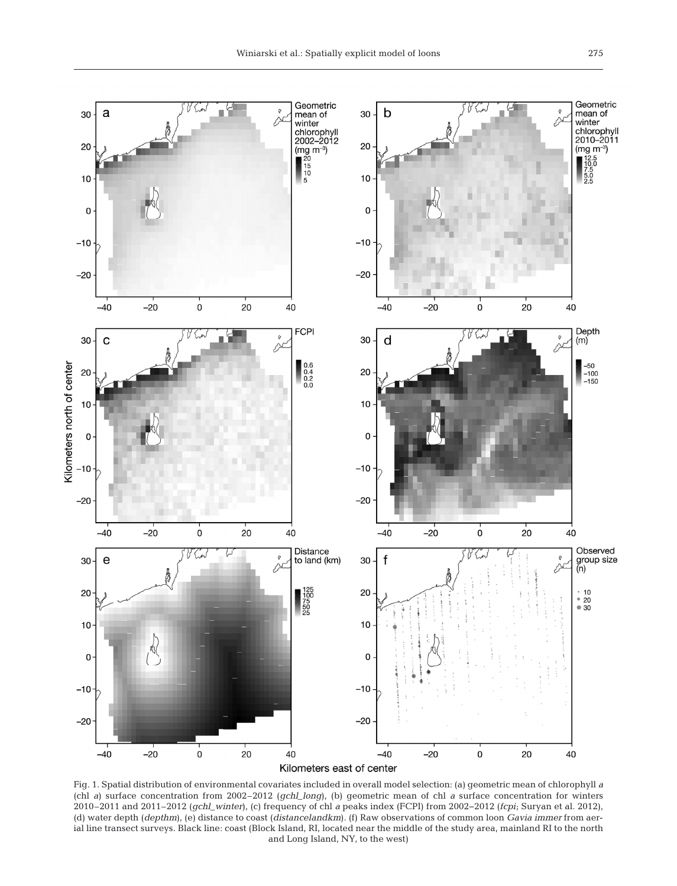

Fig. 1. Spatial distribution of environmental covariates included in overall model selection: (a) geometric mean of chlorophyll *a* (chl *a*) surface concentration from 2002–2012 (*gchl\_long*), (b) geometric mean of chl *a* surface concentration for winters 2010–2011 and 2011–2012 (*gchl\_winter*), (c) frequency of chl *a* peaks index (FCPI) from 2002−2012 (*fcpi*; Suryan et al. 2012), (d) water depth (*depthm*), (e) distance to coast (*distancelandkm*). (f) Raw observations of common loon *Gavia immer* from aerial line transect surveys. Black line: coast (Block Island, RI, located near the middle of the study area, mainland RI to the north and Long Island, NY, to the west)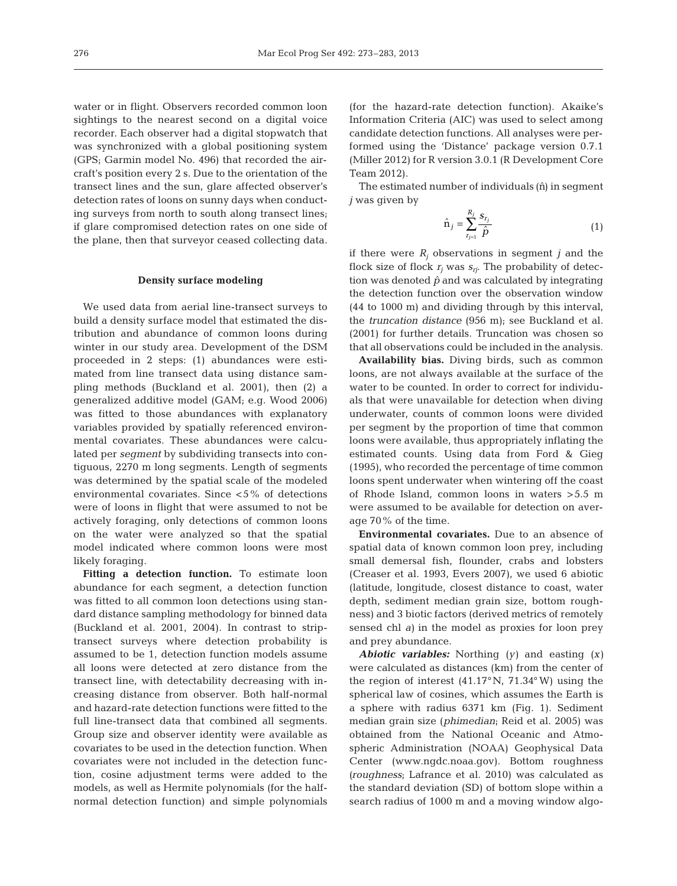water or in flight. Observers recorded common loon sightings to the nearest second on a digital voice recorder. Each observer had a digital stopwatch that was synchronized with a global positioning system (GPS; Garmin model No. 496) that recorded the aircraft's position every 2 s. Due to the orientation of the transect lines and the sun, glare affected observer's detection rates of loons on sunny days when conducting surveys from north to south along transect lines; if glare compromised detection rates on one side of the plane, then that surveyor ceased collecting data.

#### **Density surface modeling**

We used data from aerial line-transect surveys to build a density surface model that estimated the distribution and abundance of common loons during winter in our study area. Development of the DSM proceeded in 2 steps: (1) abundances were estimated from line transect data using distance sampling methods (Buckland et al. 2001), then (2) a generalized additive model (GAM; e.g. Wood 2006) was fitted to those abundances with explanatory variables provided by spatially referenced environmental covariates. These abundances were calculated per *segment* by subdividing transects into contiguous, 2270 m long segments. Length of segments was determined by the spatial scale of the modeled environmental covariates. Since <5% of detections were of loons in flight that were assumed to not be actively foraging, only detections of common loons on the water were analyzed so that the spatial model indicated where common loons were most likely for aging.

Fitting a detection function. To estimate loon abundance for each segment, a detection function was fitted to all common loon detections using standard distance sampling methodology for binned data (Buckland et al. 2001, 2004). In contrast to striptransect surveys where detection probability is assumed to be 1, detection function models assume all loons were detected at zero distance from the transect line, with detectability decreasing with in creasing distance from observer. Both half-normal and hazard-rate detection functions were fitted to the full line-transect data that combined all segments. Group size and observer identity were available as covariates to be used in the detection function. When covariates were not included in the detection function, cosine adjustment terms were added to the models, as well as Hermite polynomials (for the halfnormal detection function) and simple polynomials

(for the hazard-rate detection function). Akaike's Information Criteria (AIC) was used to select among candidate detection functions. All analyses were performed using the 'Distance' package version 0.7.1 (Miller 2012) for R version 3.0.1 (R Development Core Team 2012).

The estimated number of individuals (ñ) in segment *j* was given by

$$
\hat{n}_j = \sum_{r_{j=1}}^{R_j} \frac{s_{r_j}}{\hat{p}} \tag{1}
$$

if there were  $R_i$  observations in segment *j* and the flock size of flock  $r_j$  was  $s_{rj}$ . The probability of detection was denoted  $\hat{p}$  and was calculated by integrating the detection function over the observation window (44 to 1000 m) and dividing through by this interval, the *truncation distance* (956 m); see Buckland et al. (2001) for further details. Truncation was chosen so that all observations could be included in the analysis.

**Availability bias.** Diving birds, such as common loons, are not always available at the surface of the water to be counted. In order to correct for individuals that were unavailable for detection when diving underwater, counts of common loons were divided per segment by the proportion of time that common loons were available, thus appropriately inflating the estimated counts. Using data from Ford & Gieg (1995), who recorded the percentage of time common loons spent underwater when wintering off the coast of Rhode Island, common loons in waters >5.5 m were assumed to be available for detection on average 70% of the time.

**Environmental covariates.** Due to an absence of spatial data of known common loon prey, including small demersal fish, flounder, crabs and lobsters (Creaser et al. 1993, Evers 2007), we used 6 abiotic (latitude, longitude, closest distance to coast, water depth, sediment median grain size, bottom roughness) and 3 biotic factors (derived metrics of remotely sensed chl *a)* in the model as proxies for loon prey and prey abundance.

*Abiotic variables:* Northing *(y)* and easting *(x)* were calculated as distances (km) from the center of the region of interest (41.17°N, 71.34° W) using the spherical law of cosines, which assumes the Earth is a sphere with radius 6371 km (Fig. 1). Sediment median grain size *(phimedian*; Reid et al. 2005) was obtained from the National Oceanic and Atmospheric Administration (NOAA) Geophysical Data Center (www.ngdc.noaa.gov). Bottom roughness *(roughness*; Lafrance et al. 2010) was calculated as the standard deviation (SD) of bottom slope within a search radius of 1000 m and a moving window algo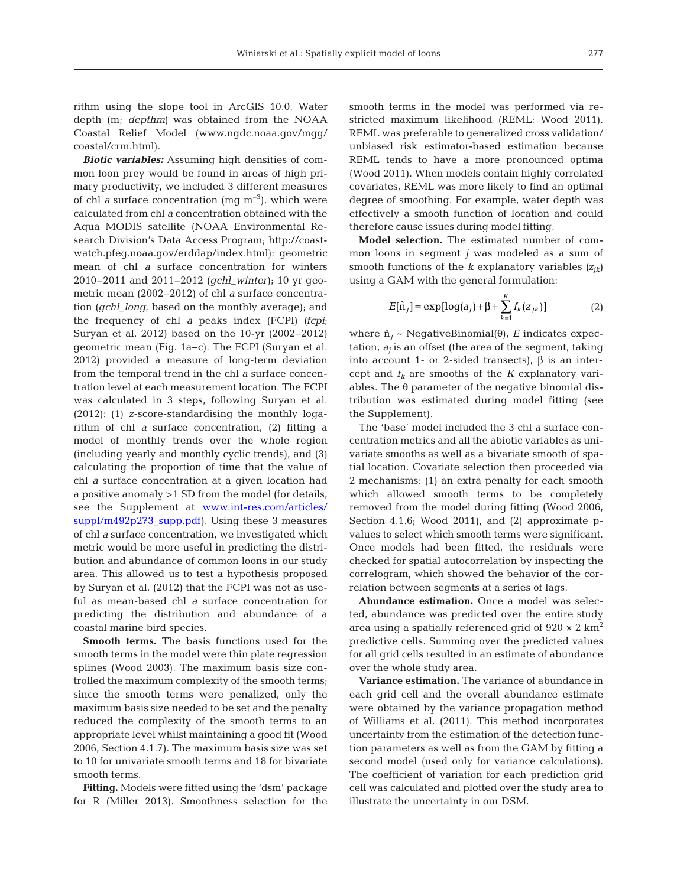rithm using the slope tool in ArcGIS 10.0. Water depth (m; *depthm)* was obtained from the NOAA Coastal Relief Model (www.ngdc.noaa.gov/mgg/ coastal/ crm. html).

*Biotic variables:* Assuming high densities of common loon prey would be found in areas of high primary productivity, we included 3 different measures of chl *a* surface concentration (mg m−3), which were calculated from chl *a* concentration obtained with the Aqua MODIS satellite (NOAA Environmental Re search Division's Data Access Program; http://coastwatch.pfeg.noaa.gov/erddap/index.html): geometric mean of chl *a* surface concentration for winters 2010–2011 and 2011–2012 *(gchl\_winter*); 10 yr geometric mean (2002−2012) of chl *a* surface concentration *(gchl\_long*, based on the monthly average); and the frequency of chl *a* peaks index (FCPI) *(fcpi*; Suryan et al. 2012) based on the 10-yr (2002−2012) geometric mean (Fig. 1a−c). The FCPI (Suryan et al. 2012) provided a measure of long-term deviation from the temporal trend in the chl *a* surface concentration level at each measurement location. The FCPI was calculated in 3 steps, following Suryan et al. (2012): (1) *z*-score-standardising the monthly logarithm of chl *a* surface concentration, (2) fitting a model of monthly trends over the whole region (including yearly and monthly cyclic trends), and (3) calculating the proportion of time that the value of chl *a* surface concentration at a given location had a positive anomaly >1 SD from the model (for details, see the Supplement at www.int-res.com/articles/ suppl/m492p273\_supp.pdf). Using these 3 measures of chl *a* surface concentration, we investigated which metric would be more useful in predicting the distribution and abundance of common loons in our study area. This allowed us to test a hypothesis proposed by Suryan et al. (2012) that the FCPI was not as useful as mean-based chl *a* surface concentration for predicting the distribution and abundance of a coastal marine bird species.

**Smooth terms.** The basis functions used for the smooth terms in the model were thin plate regression splines (Wood 2003). The maximum basis size controlled the maximum complexity of the smooth terms; since the smooth terms were penalized, only the maximum basis size needed to be set and the penalty reduced the complexity of the smooth terms to an appropriate level whilst maintaining a good fit (Wood 2006, Section 4.1.7). The maximum basis size was set to 10 for univariate smooth terms and 18 for bivariate smooth terms.

**Fitting.** Models were fitted using the 'dsm' package for R (Miller 2013). Smoothness selection for the smooth terms in the model was performed via restricted maximum likelihood (REML; Wood 2011). REML was preferable to generalized cross validation/ unbiased risk estimator-based estimation be cause REML tends to have a more pronounced optima (Wood 2011). When models contain highly correlated covariates, REML was more likely to find an optimal degree of smoothing. For example, water depth was effectively a smooth function of location and could therefore cause issues during model fitting.

**Model selection.** The estimated number of common loons in segment *j* was modeled as a sum of smooth functions of the  $k$  explanatory variables  $(z_{ik})$ using a GAM with the general formulation:

$$
E[\hat{n}_j] = \exp[\log(a_j) + \beta + \sum_{k=1}^{K} f_k(z_{jk})]
$$
 (2)

where  $\hat{n}_i$  ~ NegativeBinomial(θ), *E* indicates expectation, *aj* is an offset (the area of the segment, taking into account 1- or 2-sided transects),  $β$  is an intercept and  $f_k$  are smooths of the  $K$  explanatory variables. The  $\theta$  parameter of the negative binomial distribution was estimated during model fitting (see the Supplement).

The 'base' model included the 3 chl *a* surface concentration metrics and all the abiotic variables as univariate smooths as well as a bivariate smooth of spatial location. Covariate selection then proceeded via 2 mechanisms: (1) an extra penalty for each smooth which allowed smooth terms to be completely removed from the model during fitting (Wood 2006, Section 4.1.6; Wood 2011), and (2) approximate pvalues to select which smooth terms were significant. Once models had been fitted, the residuals were checked for spatial autocorrelation by inspecting the correlogram, which showed the behavior of the correlation between segments at a series of lags.

Abundance estimation. Once a model was selected, abundance was predicted over the entire study area using a spatially referenced grid of  $920 \times 2 \text{ km}^2$ predictive cells. Summing over the predicted values for all grid cells resulted in an estimate of abundance over the whole study area.

**Variance estimation.** The variance of abundance in each grid cell and the overall abundance estimate were obtained by the variance propagation method of Williams et al. (2011). This method incorporates uncertainty from the estimation of the detection function parameters as well as from the GAM by fitting a second model (used only for variance calculations). The coefficient of variation for each prediction grid cell was calculated and plotted over the study area to illustrate the uncertainty in our DSM.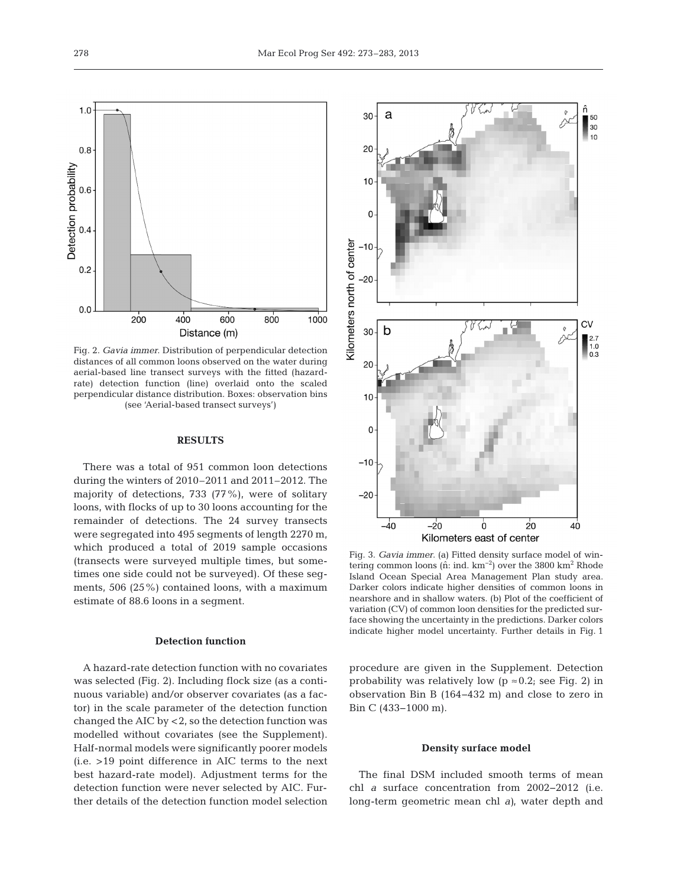Fig. 2. *Gavia immer*. Distribution of perpendicular detection distances of all common loons observed on the water during aerial-based line transect surveys with the fitted (hazardrate) detection function (line) overlaid onto the scaled perpendicular distance distribution. Boxes: observation bins (see 'Aerial-based transect surveys')

Distance (m)

600

800

1000

400

## **RESULTS**

There was a total of 951 common loon detections during the winters of 2010–2011 and 2011–2012. The majority of detections, 733 (77%), were of solitary loons, with flocks of up to 30 loons accounting for the remainder of detections. The 24 survey transects were segregated into 495 segments of length 2270 m, which produced a total of 2019 sample occasions (transects were surveyed multiple times, but sometimes one side could not be surveyed). Of these segments, 506 (25%) contained loons, with a maximum estimate of 88.6 loons in a segment.

### **Detection function**

A hazard-rate detection function with no covariates was selected (Fig. 2). Including flock size (as a continuous variable) and/or observer covariates (as a factor) in the scale parameter of the detection function changed the AIC by <2, so the detection function was modelled without covariates (see the Supplement). Half-normal models were significantly poorer models (i.e. >19 point difference in AIC terms to the next best hazard-rate model). Adjustment terms for the detection function were never selected by AIC. Further details of the detection function model selection



Fig. 3. *Gavia immer*. (a) Fitted density surface model of wintering common loons ( $\hat{n}$ : ind. km<sup>-2</sup>) over the 3800 km<sup>2</sup> Rhode Island Ocean Special Area Management Plan study area. Darker colors indicate higher densities of common loons in nearshore and in shallow waters. (b) Plot of the coefficient of variation (CV) of common loon densities for the predicted surface showing the uncertainty in the predictions. Darker colors indicate higher model uncertainty. Further details in Fig. 1

procedure are given in the Supplement. Detection probability was relatively low ( $p \approx 0.2$ ; see Fig. 2) in observation Bin B (164−432 m) and close to zero in Bin C (433−1000 m).

#### **Density surface model**

The final DSM included smooth terms of mean chl *a* surface concentration from 2002−2012 (i.e. long- term geometric mean chl *a)*, water depth and

 $1.0$ 

 $0.8$ 

 $0.6$ 

 $0.4$ 

 $0.2$ 

 $0.0$ 

200

Detection probability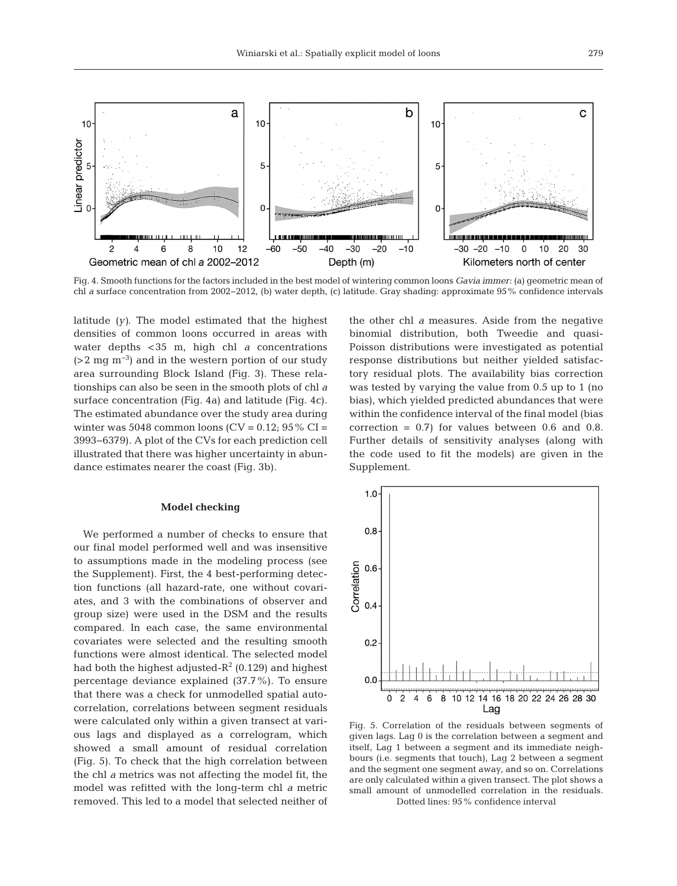

Fig. 4. Smooth functions for the factors included in the best model of wintering common loons *Gavia immer*: (a) geometric mean of chl *a* surface concentration from 2002−2012, (b) water depth, (c) latitude. Gray shading: approximate 95% confidence intervals

latitude *(y)*. The model estimated that the highest densities of common loons occurred in areas with water depths <35 m, high chl *a* concentrations  $(>2 \text{ mg m}^{-3})$  and in the western portion of our study area surrounding Block Island (Fig. 3). These relationships can also be seen in the smooth plots of chl *a* surface concentration (Fig. 4a) and latitude (Fig. 4c). The estimated abundance over the study area during winter was  $5048$  common loons (CV = 0.12; 95 % CI = 3993−6379). A plot of the CVs for each prediction cell illustrated that there was higher uncertainty in abundance estimates nearer the coast (Fig. 3b).

## **Model checking**

We performed a number of checks to ensure that our final model performed well and was insensitive to assumptions made in the modeling process (see the Supplement). First, the 4 best-performing detection functions (all hazard-rate, one without covariates, and 3 with the combinations of observer and group size) were used in the DSM and the results compared. In each case, the same environmental covariates were selected and the resulting smooth functions were almost identical. The selected model had both the highest adjusted- $R^2$  (0.129) and highest percentage deviance explained (37.7%). To ensure that there was a check for unmodelled spatial autocorrelation, correlations between segment residuals were calculated only within a given transect at various lags and displayed as a correlogram, which showed a small amount of residual correlation (Fig. 5). To check that the high correlation between the chl *a* metrics was not affecting the model fit, the model was refitted with the long-term chl *a* metric removed. This led to a model that selected neither of

the other chl *a* measures. Aside from the negative binomial distribution, both Tweedie and quasi-Poisson distributions were investigated as potential response distributions but neither yielded satisfactory residual plots. The availability bias correction was tested by varying the value from 0.5 up to 1 (no bias), which yielded predicted abundances that were within the confidence interval of the final model (bias correction  $= 0.7$ ) for values between 0.6 and 0.8. Further details of sensitivity analyses (along with the code used to fit the models) are given in the Supplement.



Fig. 5. Correlation of the residuals between segments of given lags. Lag 0 is the correlation between a segment and itself, Lag 1 between a segment and its immediate neighbours (i.e. segments that touch), Lag 2 between a segment and the segment one segment away, and so on. Correlations are only calculated within a given transect. The plot shows a small amount of unmodelled correlation in the residuals. Dotted lines: 95% confidence interval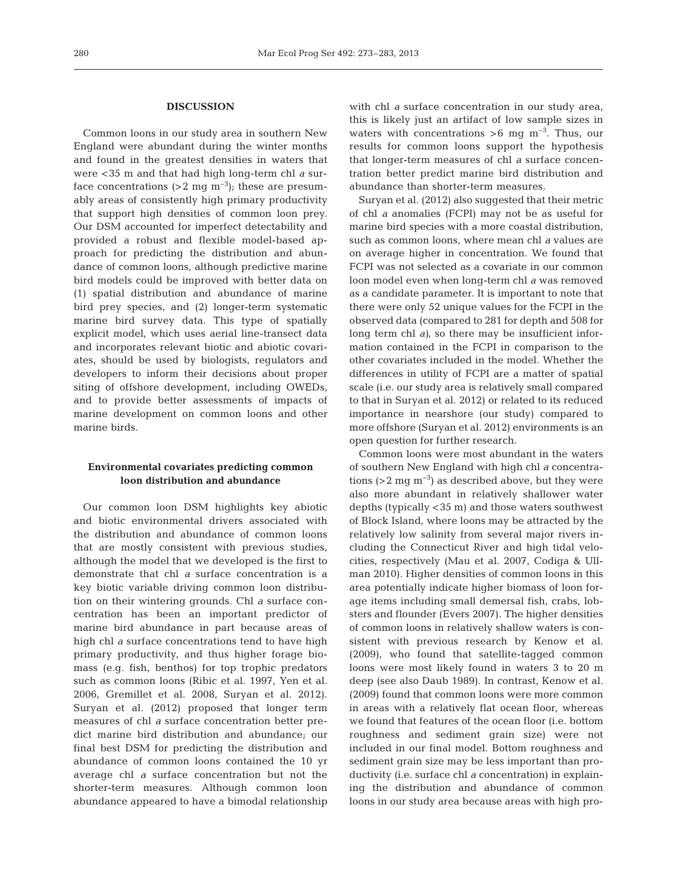# **DISCUSSION**

Common loons in our study area in southern New England were abundant during the winter months and found in the greatest densities in waters that were <35 m and that had high long-term chl *a* surface concentrations  $(>2 \text{ mg m}^{-3})$ ; these are presumably areas of consistently high primary productivity that support high densities of common loon prey. Our DSM accounted for imperfect detectability and provided a robust and flexible model-based approach for predicting the distribution and abundance of common loons, although predictive marine bird models could be improved with better data on (1) spatial distribution and abundance of marine bird prey species, and (2) longer-term systematic marine bird survey data. This type of spatially explicit model, which uses aerial line-transect data and incorporates relevant biotic and abiotic covariates, should be used by biologists, regulators and developers to inform their decisions about proper siting of offshore development, including OWEDs, and to provide better assessments of impacts of marine development on common loons and other marine birds.

# **Environmental covariates predicting common loon distribution and abundance**

Our common loon DSM highlights key abiotic and biotic environmental drivers associated with the distribution and abundance of common loons that are mostly consistent with previous studies, although the model that we developed is the first to demonstrate that chl *a* surface concentration is a key biotic variable driving common loon distribution on their wintering grounds. Chl *a* surface concentration has been an important predictor of marine bird abundance in part because areas of high chl *a* surface concentrations tend to have high primary productivity, and thus higher forage biomass (e.g. fish, benthos) for top trophic predators such as common loons (Ribic et al. 1997, Yen et al. 2006, Gremillet et al. 2008, Suryan et al. 2012). Suryan et al. (2012) proposed that longer term measures of chl *a* surface concentration better predict marine bird distribution and abundance; our final best DSM for predicting the distribution and abundance of common loons contained the 10 yr average chl *a* surface concentration but not the shorter-term measures. Although common loon abundance appeared to have a bimodal relationship

with chl *a* surface concentration in our study area, this is likely just an artifact of low sample sizes in waters with concentrations >6 mg m<sup>-3</sup>. Thus, our results for common loons support the hypothesis that longer-term measures of chl *a* surface concentration better predict marine bird distribution and abundance than shorter-term measures.

Suryan et al. (2012) also suggested that their metric of chl *a* anomalies (FCPI) may not be as useful for marine bird species with a more coastal distribution, such as common loons, where mean chl *a* values are on average higher in concentration. We found that FCPI was not selected as a covariate in our common loon model even when long-term chl *a* was removed as a candidate parameter. It is important to note that there were only 52 unique values for the FCPI in the observed data (compared to 281 for depth and 508 for long term chl *a)*, so there may be insufficient information contained in the FCPI in comparison to the other covariates included in the model. Whether the differences in utility of FCPI are a matter of spatial scale (i.e. our study area is relatively small compared to that in Suryan et al. 2012) or related to its reduced importance in nearshore (our study) compared to more offshore (Suryan et al. 2012) environments is an open question for further research.

Common loons were most abundant in the waters of southern New England with high chl *a* concentrations (>2 mg  $\rm m^{-3}$ ) as described above, but they were also more abundant in relatively shallower water depths (typically <35 m) and those waters southwest of Block Island, where loons may be attracted by the relatively low salinity from several major rivers in cluding the Connecticut River and high tidal velocities, respectively (Mau et al. 2007, Codiga & Ullman 2010). Higher densities of common loons in this area potentially indicate higher biomass of loon forage items including small demersal fish, crabs, lobsters and flounder (Evers 2007). The higher densities of common loons in relatively shallow waters is consistent with previous research by Kenow et al. (2009), who found that satellite-tagged common loons were most likely found in waters 3 to 20 m deep (see also Daub 1989). In contrast, Kenow et al. (2009) found that common loons were more common in areas with a relatively flat ocean floor, whereas we found that features of the ocean floor (i.e. bottom roughness and sediment grain size) were not included in our final model. Bottom roughness and sediment grain size may be less important than productivity (i.e. surface chl *a* concentration) in explaining the distribution and abundance of common loons in our study area because areas with high pro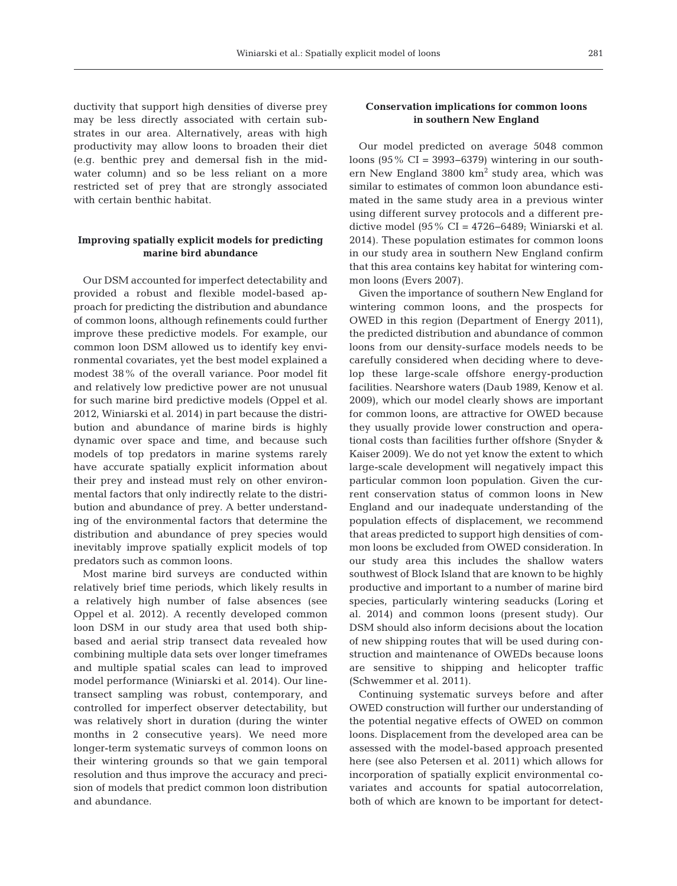ductivity that support high densities of diverse prey may be less directly associated with certain substrates in our area. Alternatively, areas with high productivity may allow loons to broaden their diet (e.g. benthic prey and demersal fish in the midwater column) and so be less reliant on a more restricted set of prey that are strongly associated with certain benthic habitat.

# **Improving spatially explicit models for predicting marine bird abundance**

Our DSM accounted for imperfect detectability and provided a robust and flexible model-based approach for predicting the distribution and abundance of common loons, although refinements could further improve these predictive models. For example, our common loon DSM allowed us to identify key environmental covariates, yet the best model explained a modest 38% of the overall variance. Poor model fit and relatively low predictive power are not unusual for such marine bird predictive models (Oppel et al. 2012, Winiarski et al. 2014) in part because the distribution and abundance of marine birds is highly dynamic over space and time, and because such models of top predators in marine systems rarely have accurate spatially explicit information about their prey and instead must rely on other environmental factors that only indirectly relate to the distribution and abundance of prey. A better understanding of the environmental factors that determine the distribution and abundance of prey species would inevitably improve spatially explicit models of top predators such as common loons.

Most marine bird surveys are conducted within relatively brief time periods, which likely results in a relatively high number of false absences (see Oppel et al. 2012). A recently developed common loon DSM in our study area that used both shipbased and aerial strip transect data revealed how combining multiple data sets over longer timeframes and multiple spatial scales can lead to improved model performance (Winiarski et al. 2014). Our linetransect sampling was robust, contemporary, and controlled for imperfect observer detectability, but was relatively short in duration (during the winter months in 2 consecutive years). We need more longer-term systematic surveys of common loons on their wintering grounds so that we gain temporal resolution and thus improve the accuracy and precision of models that predict common loon distribution and abundance.

# **Conservation implications for common loons in southern New England**

Our model predicted on average 5048 common loons (95% CI = 3993−6379) wintering in our southern New England 3800 km<sup>2</sup> study area, which was similar to estimates of common loon abundance estimated in the same study area in a previous winter using different survey protocols and a different predictive model (95% CI = 4726−6489; Winiarski et al. 2014). These population estimates for common loons in our study area in southern New England confirm that this area contains key habitat for wintering common loons (Evers 2007).

Given the importance of southern New England for wintering common loons, and the prospects for OWED in this region (Department of Energy 2011), the predicted distribution and abundance of common loons from our density-surface models needs to be carefully considered when deciding where to deve lop these large-scale offshore energy-production facilities. Nearshore waters (Daub 1989, Kenow et al. 2009), which our model clearly shows are important for common loons, are attractive for OWED because they usually provide lower construction and operational costs than facilities further offshore (Snyder & Kaiser 2009). We do not yet know the extent to which large-scale development will negatively impact this particular common loon population. Given the current conservation status of common loons in New England and our inadequate understanding of the population effects of displacement, we recommend that areas predicted to support high densities of common loons be excluded from OWED consideration. In our study area this includes the shallow waters southwest of Block Island that are known to be highly productive and important to a number of marine bird species, particularly wintering seaducks (Loring et al. 2014) and common loons (present study). Our DSM should also inform decisions about the location of new shipping routes that will be used during construction and maintenance of OWEDs because loons are sensitive to shipping and helicopter traffic (Schwemmer et al. 2011).

Continuing systematic surveys before and after OWED construction will further our understanding of the potential negative effects of OWED on common loons. Displacement from the developed area can be assessed with the model-based approach presented here (see also Petersen et al. 2011) which allows for incorporation of spatially explicit environmental covariates and accounts for spatial autocorrelation, both of which are known to be important for detect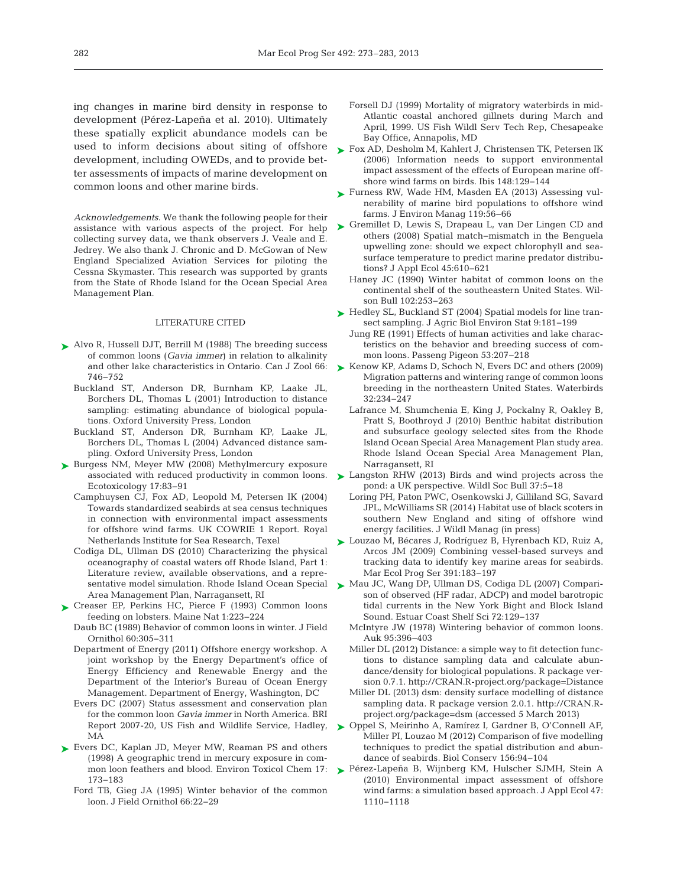ing changes in marine bird density in response to development (Pérez-Lapeña et al. 2010). Ultimately these spatially explicit abundance models can be used to inform decisions about siting of offshore development, including OWEDs, and to provide better assessments of impacts of marine development on common loons and other marine birds.

*Acknowledgements*. We thank the following people for their assistance with various aspects of the project. For help collecting survey data, we thank observers J. Veale and E. Jedrey. We also thank J. Chronic and D. McGowan of New England Specialized Aviation Services for piloting the Cessna Skymaster. This research was supported by grants from the State of Rhode Island for the Ocean Special Area Management Plan.

#### LITERATURE CITED

- ▶ [Alvo R, Hussell DJT, Berrill M \(1988\) The breeding success](http://dx.doi.org/10.1139/z88-110) of common loons (*Gavia immer*) in relation to alkalinity and other lake characteristics in Ontario. Can J Zool 66: 746−752
	- Buckland ST, Anderson DR, Burnham KP, Laake JL, Borchers DL, Thomas L (2001) Introduction to distance sampling: estimating abundance of biological populations. Oxford University Press, London
	- Buckland ST, Anderson DR, Burnham KP, Laake JL, Borchers DL, Thomas L (2004) Advanced distance sampling. Oxford University Press, London
- ► [Burgess NM, Meyer MW \(2008\) Methylmercury exposure](http://dx.doi.org/10.1007/s10646-007-0167-8) associated with reduced productivity in common loons. Ecotoxicology 17: 83−91
	- Camphuysen CJ, Fox AD, Leopold M, Petersen IK (2004) Towards standardized seabirds at sea census techniques in connection with environmental impact assessments for offshore wind farms. UK COWRIE 1 Report. Royal Netherlands Institute for Sea Research, Texel
	- Codiga DL, Ullman DS (2010) Characterizing the physical oceanography of coastal waters off Rhode Island, Part 1: Literature review, available observations, and a representative model simulation. Rhode Island Ocean Special Area Management Plan, Narragansett, RI
- ▶ [Creaser EP, Perkins HC, Pierce F \(1993\) Common loons](http://dx.doi.org/10.2307/3858183) feeding on lobsters. Maine Nat 1:223-224
	- Daub BC (1989) Behavior of common loons in winter. J Field Ornithol 60:305-311
	- Department of Energy (2011) Offshore energy workshop. A joint workshop by the Energy Department's office of Energy Efficiency and Renewable Energy and the Department of the Interior's Bureau of Ocean Energy Management. Department of Energy, Washington, DC
	- Evers DC (2007) Status assessment and conservation plan for the common loon *Gavia immer* in North America. BRI Report 2007-20, US Fish and Wildlife Service, Hadley, MA
- ► [Evers DC, Kaplan JD, Meyer MW, Reaman PS and others](http://dx.doi.org/10.1002/etc.5620170206) (1998) A geographic trend in mercury exposure in common loon feathers and blood. Environ Toxicol Chem 17: 173−183
	- Ford TB, Gieg JA (1995) Winter behavior of the common loon. J Field Ornithol 66: 22−29
- Forsell DJ (1999) Mortality of migratory waterbirds in mid-Atlantic coastal anchored gillnets during March and April, 1999. US Fish Wildl Serv Tech Rep, Chesapeake Bay Office, Annapolis, MD
- ► [Fox AD, Desholm M, Kahlert J, Christensen TK, Petersen IK](http://dx.doi.org/10.1111/j.1474-919X.2006.00510.x) (2006) Information needs to support environmental impact assessment of the effects of European marine offshore wind farms on birds. Ibis 148: 129−144
- ► [Furness RW, Wade HM, Masden EA \(2013\) Assessing vul](http://dx.doi.org/10.1016/j.jenvman.2013.01.025)nerability of marine bird populations to offshore wind farms. J Environ Manag 119:56-66
- ► [Gremillet D, Lewis S, Drapeau L, van Der Lingen CD and](http://dx.doi.org/10.1111/j.1365-2664.2007.01447.x) others (2008) Spatial match−mismatch in the Benguela upwelling zone: should we expect chlorophyll and seasurface temperature to predict marine predator distributions? J Appl Ecol 45:610-621
	- Haney JC (1990) Winter habitat of common loons on the continental shelf of the southeastern United States. Wilson Bull 102:253-263
- ► [Hedley SL, Buckland ST \(2004\) Spatial models for line tran](http://dx.doi.org/10.1198/1085711043578)sect sampling. J Agric Biol Environ Stat 9: 181−199
	- Jung RE (1991) Effects of human activities and lake characteristics on the behavior and breeding success of common loons. Passeng Pigeon 53: 207−218
- ► [Kenow KP, Adams D, Schoch N, Evers DC and others \(2009\)](http://dx.doi.org/10.1675/063.032.0204) Migration patterns and wintering range of common loons breeding in the northeastern United States. Waterbirds 32: 234−247
	- Lafrance M, Shumchenia E, King J, Pockalny R, Oakley B, Pratt S, Boothroyd J (2010) Benthic habitat distribution and subsurface geology selected sites from the Rhode Island Ocean Special Area Management Plan study area. Rhode Island Ocean Special Area Management Plan, Narragansett, RI
- ► [Langston RHW \(2013\) Birds and wind projects across the](http://dx.doi.org/10.1002/wsb.262) pond: a UK perspective. Wildl Soc Bull 37:5-18
	- Loring PH, Paton PWC, Osenkowski J, Gilliland SG, Savard JPL, McWilliams SR (2014) Habitat use of black scoters in southern New England and siting of offshore wind energy facilities. J Wildl Manag (in press)
- [Louzao M, Bécares J, Rodríguez B, Hyrenbach KD, Ruiz A,](http://dx.doi.org/10.3354/meps08124) ➤ Arcos JM (2009) Combining vessel-based surveys and tracking data to identify key marine areas for seabirds. Mar Ecol Prog Ser 391: 183−197
- ► [Mau JC, Wang DP, Ullman DS, Codiga DL \(2007\) Compari](http://dx.doi.org/10.1016/j.ecss.2006.10.011)son of observed (HF radar, ADCP) and model barotropic tidal currents in the New York Bight and Block Island Sound. Estuar Coast Shelf Sci 72: 129−137
	- McIntyre JW (1978) Wintering behavior of common loons. Auk 95: 396−403
	- Miller DL (2012) Distance: a simple way to fit detection functions to distance sampling data and calculate abundance/density for biological populations. R package version 0.7.1. http://CRAN.R-project.org/package=Distance
	- Miller DL (2013) dsm: density surface modelling of distance sampling data. R package version 2.0.1. http://CRAN.Rproject.org/package=dsm (accessed 5 March 2013)
- [Oppel S, Meirinho A, Ramírez I, Gardner B, O'Connell AF,](http://dx.doi.org/10.1016/j.biocon.2011.11.013) ➤ Miller PI, Louzao M (2012) Comparison of five modelling techniques to predict the spatial distribution and abundance of seabirds. Biol Conserv 156: 94−104
- [Pérez-Lapeña B, Wijnberg KM, Hulscher SJMH, Stein A](http://dx.doi.org/10.1111/j.1365-2664.2010.01850.x) ➤(2010) Environmental impact assessment of offshore wind farms: a simulation based approach. J Appl Ecol 47: 1110−1118